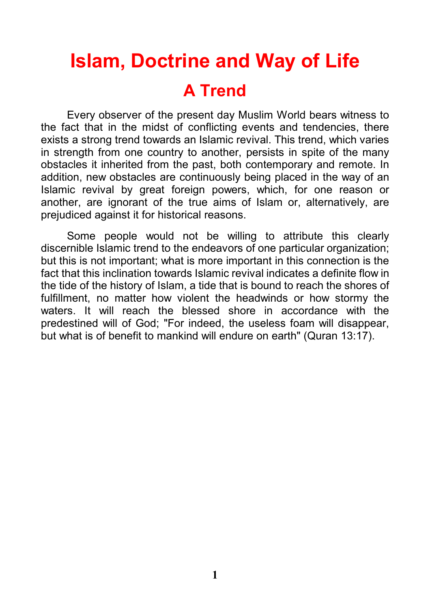# **Islam, Doctrine and Way of Life A Trend**

Every observer of the present day Muslim World bears witness to the fact that in the midst of conflicting events and tendencies, there exists a strong trend towards an Islamic revival. This trend, which varies in strength from one country to another, persists in spite of the many obstacles it inherited from the past, both contemporary and remote. In addition, new obstacles are continuously being placed in the way of an Islamic revival by great foreign powers, which, for one reason or another, are ignorant of the true aims of Islam or, alternatively, are prejudiced against it for historical reasons.

Some people would not be willing to attribute this clearly discernible Islamic trend to the endeavors of one particular organization; but this is not important; what is more important in this connection is the fact that this inclination towards Islamic revival indicates a definite flow in the tide of the history of Islam, a tide that is bound to reach the shores of fulfillment, no matter how violent the headwinds or how stormy the waters. It will reach the blessed shore in accordance with the predestined will of God; "For indeed, the useless foam will disappear, but what is of benefit to mankind will endure on earth" (Quran 13:17).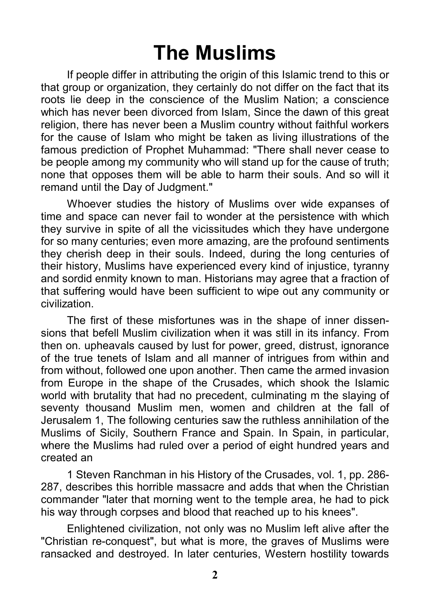## **The Muslims**

If people differ in attributing the origin of this Islamic trend to this or that group or organization, they certainly do not differ on the fact that its roots lie deep in the conscience of the Muslim Nation; a conscience which has never been divorced from Islam, Since the dawn of this great religion, there has never been a Muslim country without faithful workers for the cause of Islam who might be taken as living illustrations of the famous prediction of Prophet Muhammad: "There shall never cease to be people among my community who will stand up for the cause of truth; none that opposes them will be able to harm their souls. And so will it remand until the Day of Judgment."

Whoever studies the history of Muslims over wide expanses of time and space can never fail to wonder at the persistence with which they survive in spite of all the vicissitudes which they have undergone for so many centuries; even more amazing, are the profound sentiments they cherish deep in their souls. Indeed, during the long centuries of their history, Muslims have experienced every kind of injustice, tyranny and sordid enmity known to man. Historians may agree that a fraction of that suffering would have been sufficient to wipe out any community or civilization.

The first of these misfortunes was in the shape of inner dissensions that befell Muslim civilization when it was still in its infancy. From then on. upheavals caused by lust for power, greed, distrust, ignorance of the true tenets of Islam and all manner of intrigues from within and from without, followed one upon another. Then came the armed invasion from Europe in the shape of the Crusades, which shook the Islamic world with brutality that had no precedent, culminating m the slaying of seventy thousand Muslim men, women and children at the fall of Jerusalem 1, The following centuries saw the ruthless annihilation of the Muslims of Sicily, Southern France and Spain. In Spain, in particular, where the Muslims had ruled over a period of eight hundred years and created an

1 Steven Ranchman in his History of the Crusades, vol. 1, pp. 286- 287, describes this horrible massacre and adds that when the Christian commander "later that morning went to the temple area, he had to pick his way through corpses and blood that reached up to his knees".

Enlightened civilization, not only was no Muslim left alive after the "Christian re-conquest", but what is more, the graves of Muslims were ransacked and destroyed. In later centuries, Western hostility towards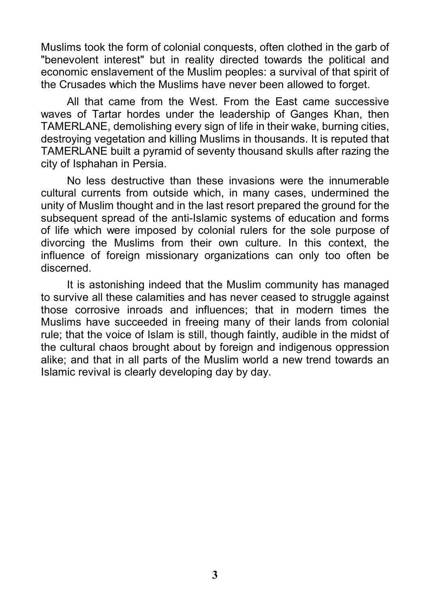Muslims took the form of colonial conquests, often clothed in the garb of "benevolent interest" but in reality directed towards the political and economic enslavement of the Muslim peoples: a survival of that spirit of the Crusades which the Muslims have never been allowed to forget.

All that came from the West. From the East came successive waves of Tartar hordes under the leadership of Ganges Khan, then TAMERLANE, demolishing every sign of life in their wake, burning cities, destroying vegetation and killing Muslims in thousands. It is reputed that TAMERLANE built a pyramid of seventy thousand skulls after razing the city of Isphahan in Persia.

No less destructive than these invasions were the innumerable cultural currents from outside which, in many cases, undermined the unity of Muslim thought and in the last resort prepared the ground for the subsequent spread of the anti-Islamic systems of education and forms of life which were imposed by colonial rulers for the sole purpose of divorcing the Muslims from their own culture. In this context, the influence of foreign missionary organizations can only too often be discerned.

It is astonishing indeed that the Muslim community has managed to survive all these calamities and has never ceased to struggle against those corrosive inroads and influences; that in modern times the Muslims have succeeded in freeing many of their lands from colonial rule; that the voice of Islam is still, though faintly, audible in the midst of the cultural chaos brought about by foreign and indigenous oppression alike; and that in all parts of the Muslim world a new trend towards an Islamic revival is clearly developing day by day.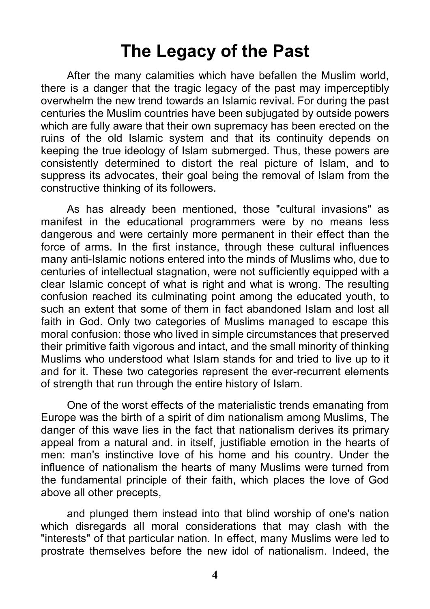#### **The Legacy of the Past**

After the many calamities which have befallen the Muslim world, there is a danger that the tragic legacy of the past may imperceptibly overwhelm the new trend towards an Islamic revival. For during the past centuries the Muslim countries have been subjugated by outside powers which are fully aware that their own supremacy has been erected on the ruins of the old Islamic system and that its continuity depends on keeping the true ideology of Islam submerged. Thus, these powers are consistently determined to distort the real picture of Islam, and to suppress its advocates, their goal being the removal of Islam from the constructive thinking of its followers.

As has already been mentioned, those "cultural invasions" as manifest in the educational programmers were by no means less dangerous and were certainly more permanent in their effect than the force of arms. In the first instance, through these cultural influences many anti-Islamic notions entered into the minds of Muslims who, due to centuries of intellectual stagnation, were not sufficiently equipped with a clear Islamic concept of what is right and what is wrong. The resulting confusion reached its culminating point among the educated youth, to such an extent that some of them in fact abandoned Islam and lost all faith in God. Only two categories of Muslims managed to escape this moral confusion: those who lived in simple circumstances that preserved their primitive faith vigorous and intact, and the small minority of thinking Muslims who understood what Islam stands for and tried to live up to it and for it. These two categories represent the ever-recurrent elements of strength that run through the entire history of Islam.

One of the worst effects of the materialistic trends emanating from Europe was the birth of a spirit of dim nationalism among Muslims, The danger of this wave lies in the fact that nationalism derives its primary appeal from a natural and. in itself, justifiable emotion in the hearts of men: man's instinctive love of his home and his country. Under the influence of nationalism the hearts of many Muslims were turned from the fundamental principle of their faith, which places the love of God above all other precepts,

and plunged them instead into that blind worship of one's nation which disregards all moral considerations that may clash with the "interests" of that particular nation. In effect, many Muslims were led to prostrate themselves before the new idol of nationalism. Indeed, the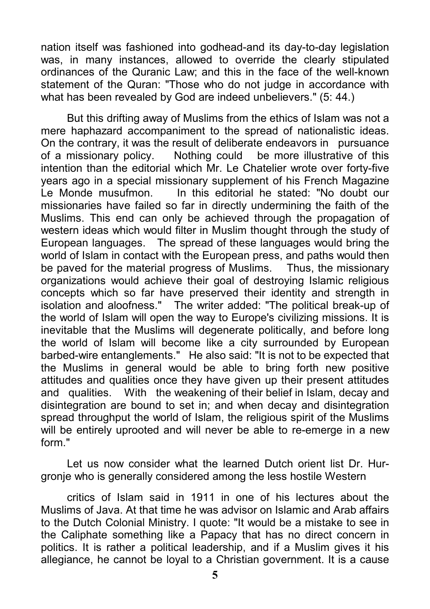nation itself was fashioned into godhead-and its day-to-day legislation was, in many instances, allowed to override the clearly stipulated ordinances of the Quranic Law; and this in the face of the well-known statement of the Quran: "Those who do not judge in accordance with what has been revealed by God are indeed unbelievers." (5: 44.)

But this drifting away of Muslims from the ethics of Islam was not a mere haphazard accompaniment to the spread of nationalistic ideas. On the contrary, it was the result of deliberate endeavors in pursuance of a missionary policy. Nothing could be more illustrative of this intention than the editorial which Mr. Le Chatelier wrote over forty-five years ago in a special missionary supplement of his French Magazine Le Monde musufmon. In this editorial he stated: "No doubt our missionaries have failed so far in directly undermining the faith of the Muslims. This end can only be achieved through the propagation of western ideas which would filter in Muslim thought through the study of European languages. The spread of these languages would bring the world of Islam in contact with the European press, and paths would then be paved for the material progress of Muslims. Thus, the missionary organizations would achieve their goal of destroying Islamic religious concepts which so far have preserved their identity and strength in isolation and aloofness." The writer added: "The political break-up of the world of Islam will open the way to Europe's civilizing missions. It is inevitable that the Muslims will degenerate politically, and before long the world of Islam will become like a city surrounded by European barbed-wire entanglements." He also said: "It is not to be expected that the Muslims in general would be able to bring forth new positive attitudes and qualities once they have given up their present attitudes and qualities. With the weakening of their belief in Islam, decay and disintegration are bound to set in; and when decay and disintegration spread throughput the world of Islam, the religious spirit of the Muslims will be entirely uprooted and will never be able to re-emerge in a new form."

Let us now consider what the learned Dutch orient list Dr. Hurgronje who is generally considered among the less hostile Western

critics of Islam said in 1911 in one of his lectures about the Muslims of Java. At that time he was advisor on Islamic and Arab affairs to the Dutch Colonial Ministry. I quote: "It would be a mistake to see in the Caliphate something like a Papacy that has no direct concern in politics. It is rather a political leadership, and if a Muslim gives it his allegiance, he cannot be loyal to a Christian government. It is a cause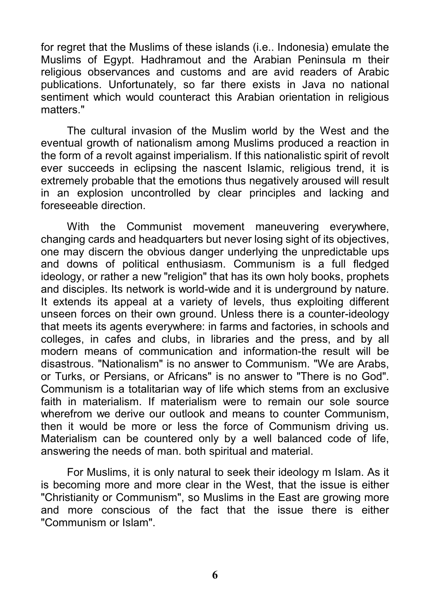for regret that the Muslims of these islands (i.e.. Indonesia) emulate the Muslims of Egypt. Hadhramout and the Arabian Peninsula m their religious observances and customs and are avid readers of Arabic publications. Unfortunately, so far there exists in Java no national sentiment which would counteract this Arabian orientation in religious matters."

The cultural invasion of the Muslim world by the West and the eventual growth of nationalism among Muslims produced a reaction in the form of a revolt against imperialism. If this nationalistic spirit of revolt ever succeeds in eclipsing the nascent Islamic, religious trend, it is extremely probable that the emotions thus negatively aroused will result in an explosion uncontrolled by clear principles and lacking and foreseeable direction.

With the Communist movement maneuvering everywhere, changing cards and headquarters but never losing sight of its objectives, one may discern the obvious danger underlying the unpredictable ups and downs of political enthusiasm. Communism is a full fledged ideology, or rather a new "religion" that has its own holy books, prophets and disciples. Its network is world-wide and it is underground by nature. It extends its appeal at a variety of levels, thus exploiting different unseen forces on their own ground. Unless there is a counter-ideology that meets its agents everywhere: in farms and factories, in schools and colleges, in cafes and clubs, in libraries and the press, and by all modern means of communication and information-the result will be disastrous. "Nationalism" is no answer to Communism. "We are Arabs, or Turks, or Persians, or Africans" is no answer to "There is no God". Communism is a totalitarian way of life which stems from an exclusive faith in materialism. If materialism were to remain our sole source wherefrom we derive our outlook and means to counter Communism, then it would be more or less the force of Communism driving us. Materialism can be countered only by a well balanced code of life, answering the needs of man. both spiritual and material.

For Muslims, it is only natural to seek their ideology m Islam. As it is becoming more and more clear in the West, that the issue is either "Christianity or Communism", so Muslims in the East are growing more and more conscious of the fact that the issue there is either "Communism or Islam".

**6**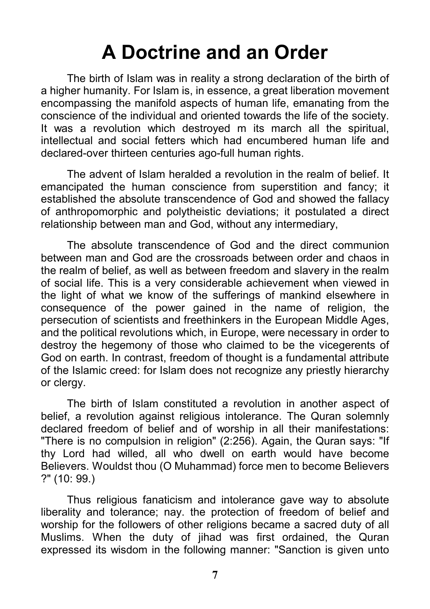#### **A Doctrine and an Order**

The birth of Islam was in reality a strong declaration of the birth of a higher humanity. For Islam is, in essence, a great liberation movement encompassing the manifold aspects of human life, emanating from the conscience of the individual and oriented towards the life of the society. It was a revolution which destroyed m its march all the spiritual, intellectual and social fetters which had encumbered human life and declared-over thirteen centuries ago-full human rights.

The advent of Islam heralded a revolution in the realm of belief. It emancipated the human conscience from superstition and fancy; it established the absolute transcendence of God and showed the fallacy of anthropomorphic and polytheistic deviations; it postulated a direct relationship between man and God, without any intermediary,

The absolute transcendence of God and the direct communion between man and God are the crossroads between order and chaos in the realm of belief, as well as between freedom and slavery in the realm of social life. This is a very considerable achievement when viewed in the light of what we know of the sufferings of mankind elsewhere in consequence of the power gained in the name of religion, the persecution of scientists and freethinkers in the European Middle Ages, and the political revolutions which, in Europe, were necessary in order to destroy the hegemony of those who claimed to be the vicegerents of God on earth. In contrast, freedom of thought is a fundamental attribute of the Islamic creed: for Islam does not recognize any priestly hierarchy or clergy.

The birth of Islam constituted a revolution in another aspect of belief, a revolution against religious intolerance. The Quran solemnly declared freedom of belief and of worship in all their manifestations: "There is no compulsion in religion" (2:256). Again, the Quran says: "If thy Lord had willed, all who dwell on earth would have become Believers. Wouldst thou (O Muhammad) force men to become Believers ?" (10: 99.)

Thus religious fanaticism and intolerance gave way to absolute liberality and tolerance; nay. the protection of freedom of belief and worship for the followers of other religions became a sacred duty of all Muslims. When the duty of jihad was first ordained, the Quran expressed its wisdom in the following manner: "Sanction is given unto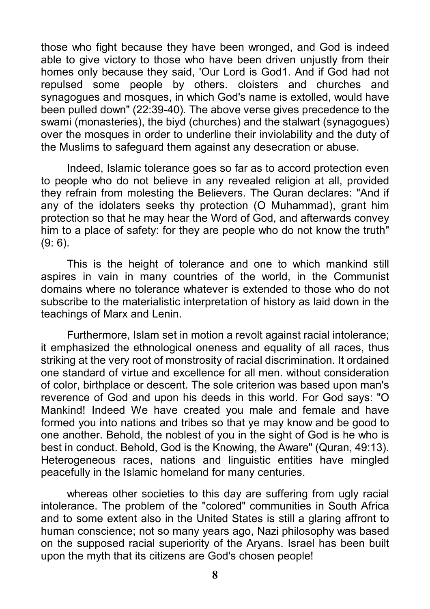those who fight because they have been wronged, and God is indeed able to give victory to those who have been driven unjustly from their homes only because they said, 'Our Lord is God1. And if God had not repulsed some people by others. cloisters and churches and synagogues and mosques, in which God's name is extolled, would have been pulled down" (22:39-40). The above verse gives precedence to the swami (monasteries), the biyd (churches) and the stalwart (synagogues) over the mosques in order to underline their inviolability and the duty of the Muslims to safeguard them against any desecration or abuse.

Indeed, Islamic tolerance goes so far as to accord protection even to people who do not believe in any revealed religion at all, provided they refrain from molesting the Believers. The Quran declares: "And if any of the idolaters seeks thy protection (O Muhammad), grant him protection so that he may hear the Word of God, and afterwards convey him to a place of safety: for they are people who do not know the truth" (9: 6).

This is the height of tolerance and one to which mankind still aspires in vain in many countries of the world, in the Communist domains where no tolerance whatever is extended to those who do not subscribe to the materialistic interpretation of history as laid down in the teachings of Marx and Lenin.

Furthermore, Islam set in motion a revolt against racial intolerance; it emphasized the ethnological oneness and equality of all races, thus striking at the very root of monstrosity of racial discrimination. It ordained one standard of virtue and excellence for all men. without consideration of color, birthplace or descent. The sole criterion was based upon man's reverence of God and upon his deeds in this world. For God says: "O Mankind! Indeed We have created you male and female and have formed you into nations and tribes so that ye may know and be good to one another. Behold, the noblest of you in the sight of God is he who is best in conduct. Behold, God is the Knowing, the Aware" (Quran, 49:13). Heterogeneous races, nations and linguistic entities have mingled peacefully in the Islamic homeland for many centuries.

whereas other societies to this day are suffering from ugly racial intolerance. The problem of the "colored" communities in South Africa and to some extent also in the United States is still a glaring affront to human conscience; not so many years ago, Nazi philosophy was based on the supposed racial superiority of the Aryans. Israel has been built upon the myth that its citizens are God's chosen people!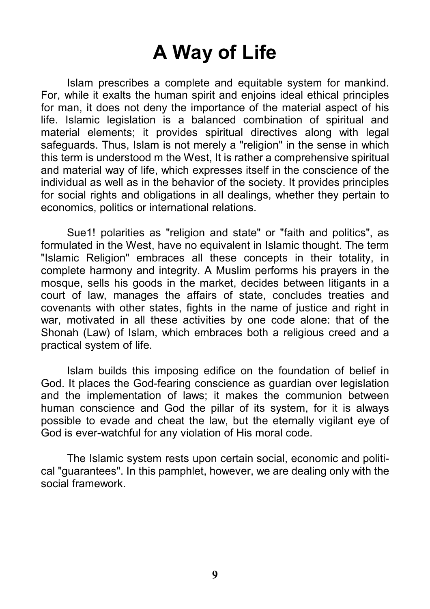### **A Way of Life**

Islam prescribes a complete and equitable system for mankind. For, while it exalts the human spirit and enjoins ideal ethical principles for man, it does not deny the importance of the material aspect of his life. Islamic legislation is a balanced combination of spiritual and material elements; it provides spiritual directives along with legal safeguards. Thus, Islam is not merely a "religion" in the sense in which this term is understood m the West, It is rather a comprehensive spiritual and material way of life, which expresses itself in the conscience of the individual as well as in the behavior of the society. It provides principles for social rights and obligations in all dealings, whether they pertain to economics, politics or international relations.

Sue 1! polarities as "religion and state" or "faith and politics", as formulated in the West, have no equivalent in Islamic thought. The term "Islamic Religion" embraces all these concepts in their totality, in complete harmony and integrity. A Muslim performs his prayers in the mosque, sells his goods in the market, decides between litigants in a court of law, manages the affairs of state, concludes treaties and covenants with other states, fights in the name of justice and right in war, motivated in all these activities by one code alone: that of the Shonah (Law) of Islam, which embraces both a religious creed and a practical system of life.

Islam builds this imposing edifice on the foundation of belief in God. It places the God-fearing conscience as guardian over legislation and the implementation of laws; it makes the communion between human conscience and God the pillar of its system, for it is always possible to evade and cheat the law, but the eternally vigilant eye of God is ever-watchful for any violation of His moral code.

The Islamic system rests upon certain social, economic and political "guarantees". In this pamphlet, however, we are dealing only with the social framework.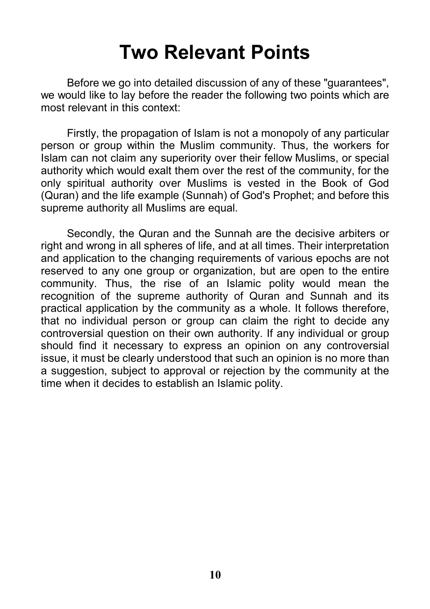#### **Two Relevant Points**

Before we go into detailed discussion of any of these "guarantees", we would like to lay before the reader the following two points which are most relevant in this context:

Firstly, the propagation of Islam is not a monopoly of any particular person or group within the Muslim community. Thus, the workers for Islam can not claim any superiority over their fellow Muslims, or special authority which would exalt them over the rest of the community, for the only spiritual authority over Muslims is vested in the Book of God (Quran) and the life example (Sunnah) of God's Prophet; and before this supreme authority all Muslims are equal.

Secondly, the Quran and the Sunnah are the decisive arbiters or right and wrong in all spheres of life, and at all times. Their interpretation and application to the changing requirements of various epochs are not reserved to any one group or organization, but are open to the entire community. Thus, the rise of an Islamic polity would mean the recognition of the supreme authority of Quran and Sunnah and its practical application by the community as a whole. It follows therefore, that no individual person or group can claim the right to decide any controversial question on their own authority. If any individual or group should find it necessary to express an opinion on any controversial issue, it must be clearly understood that such an opinion is no more than a suggestion, subject to approval or rejection by the community at the time when it decides to establish an Islamic polity.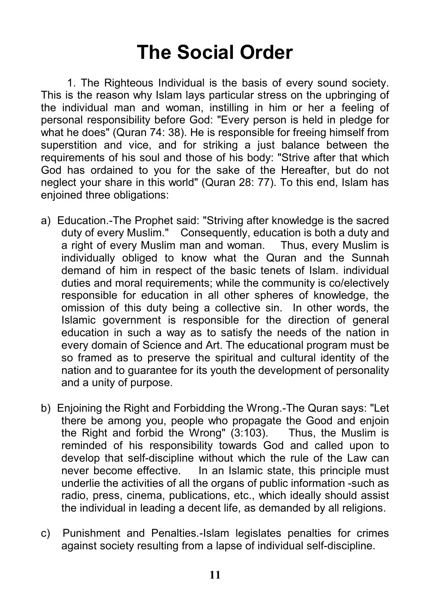### **The Social Order**

1. The Righteous Individual is the basis of every sound society. This is the reason why Islam lays particular stress on the upbringing of the individual man and woman, instilling in him or her a feeling of personal responsibility before God: "Every person is held in pledge for what he does" (Quran 74: 38). He is responsible for freeing himself from superstition and vice, and for striking a just balance between the requirements of his soul and those of his body: "Strive after that which God has ordained to you for the sake of the Hereafter, but do not neglect your share in this world" (Quran 28: 77). To this end, Islam has enjoined three obligations:

- a) Education.-The Prophet said: "Striving after knowledge is the sacred duty of every Muslim." Consequently, education is both a duty and a right of every Muslim man and woman. Thus, every Muslim is individually obliged to know what the Quran and the Sunnah demand of him in respect of the basic tenets of Islam. individual duties and moral requirements; while the community is co/electively responsible for education in all other spheres of knowledge, the omission of this duty being a collective sin. In other words, the Islamic government is responsible for the direction of general education in such a way as to satisfy the needs of the nation in every domain of Science and Art. The educational program must be so framed as to preserve the spiritual and cultural identity of the nation and to guarantee for its youth the development of personality and a unity of purpose.
- b) Enjoining the Right and Forbidding the Wrong.-The Quran says: "Let there be among you, people who propagate the Good and enjoin the Right and forbid the Wrong" (3:103). Thus, the Muslim is reminded of his responsibility towards God and called upon to develop that self-discipline without which the rule of the Law can never become effective. In an Islamic state, this principle must underlie the activities of all the organs of public information -such as radio, press, cinema, publications, etc., which ideally should assist the individual in leading a decent life, as demanded by all religions.
- c) Punishment and Penalties.-Islam legislates penalties for crimes against society resulting from a lapse of individual self-discipline.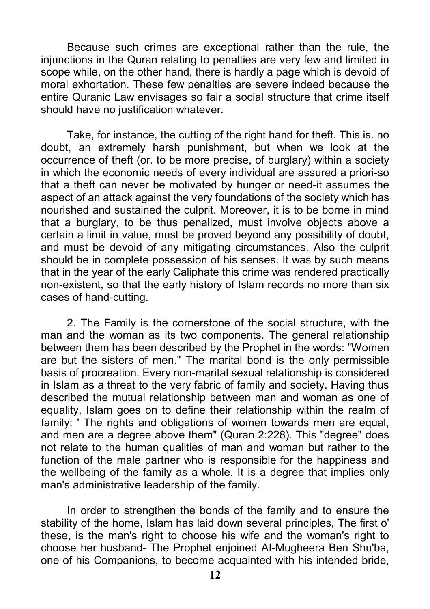Because such crimes are exceptional rather than the rule, the injunctions in the Quran relating to penalties are very few and limited in scope while, on the other hand, there is hardly a page which is devoid of moral exhortation. These few penalties are severe indeed because the entire Quranic Law envisages so fair a social structure that crime itself should have no justification whatever.

Take, for instance, the cutting of the right hand for theft. This is. no doubt, an extremely harsh punishment, but when we look at the occurrence of theft (or. to be more precise, of burglary) within a society in which the economic needs of every individual are assured a priori-so that a theft can never be motivated by hunger or need-it assumes the aspect of an attack against the very foundations of the society which has nourished and sustained the culprit. Moreover, it is to be borne in mind that a burglary, to be thus penalized, must involve objects above a certain a limit in value, must be proved beyond any possibility of doubt, and must be devoid of any mitigating circumstances. Also the culprit should be in complete possession of his senses. It was by such means that in the year of the early Caliphate this crime was rendered practically non-existent, so that the early history of Islam records no more than six cases of hand-cutting.

2. The Family is the cornerstone of the social structure, with the man and the woman as its two components. The general relationship between them has been described by the Prophet in the words: "Women are but the sisters of men." The marital bond is the only permissible basis of procreation. Every non-marital sexual relationship is considered in Islam as a threat to the very fabric of family and society. Having thus described the mutual relationship between man and woman as one of equality, Islam goes on to define their relationship within the realm of family: ' The rights and obligations of women towards men are equal. and men are a degree above them" (Quran 2:228). This "degree" does not relate to the human qualities of man and woman but rather to the function of the male partner who is responsible for the happiness and the wellbeing of the family as a whole. It is a degree that implies only man's administrative leadership of the family.

In order to strengthen the bonds of the family and to ensure the stability of the home, Islam has laid down several principles, The first o' these, is the man's right to choose his wife and the woman's right to choose her husband- The Prophet enjoined AI-Mugheera Ben Shu'ba, one of his Companions, to become acquainted with his intended bride,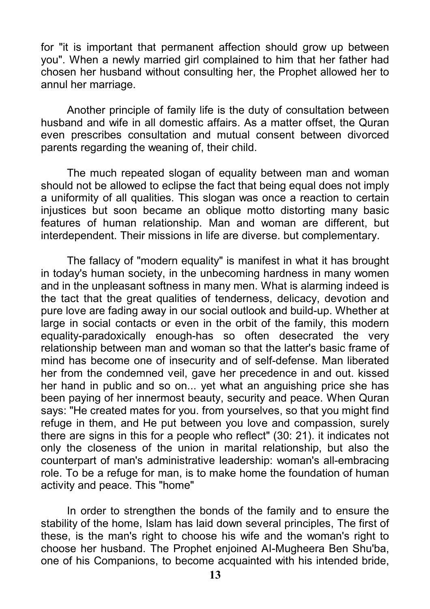for "it is important that permanent affection should grow up between you". When a newly married girl complained to him that her father had chosen her husband without consulting her, the Prophet allowed her to annul her marriage.

Another principle of family life is the duty of consultation between husband and wife in all domestic affairs. As a matter offset, the Quran even prescribes consultation and mutual consent between divorced parents regarding the weaning of, their child.

The much repeated slogan of equality between man and woman should not be allowed to eclipse the fact that being equal does not imply a uniformity of all qualities. This slogan was once a reaction to certain injustices but soon became an oblique motto distorting many basic features of human relationship. Man and woman are different, but interdependent. Their missions in life are diverse. but complementary.

The fallacy of "modern equality" is manifest in what it has brought in today's human society, in the unbecoming hardness in many women and in the unpleasant softness in many men. What is alarming indeed is the tact that the great qualities of tenderness, delicacy, devotion and pure love are fading away in our social outlook and build-up. Whether at large in social contacts or even in the orbit of the family, this modern equality-paradoxically enough-has so often desecrated the very relationship between man and woman so that the latter's basic frame of mind has become one of insecurity and of self-defense. Man liberated her from the condemned veil, gave her precedence in and out. kissed her hand in public and so on... yet what an anguishing price she has been paying of her innermost beauty, security and peace. When Quran says: "He created mates for you. from yourselves, so that you might find refuge in them, and He put between you love and compassion, surely there are signs in this for a people who reflect" (30: 21). it indicates not only the closeness of the union in marital relationship, but also the counterpart of man's administrative leadership: woman's all-embracing role. To be a refuge for man, is to make home the foundation of human activity and peace. This "home"

In order to strengthen the bonds of the family and to ensure the stability of the home, Islam has laid down several principles, The first of these, is the man's right to choose his wife and the woman's right to choose her husband. The Prophet enjoined AI-Mugheera Ben Shu'ba, one of his Companions, to become acquainted with his intended bride,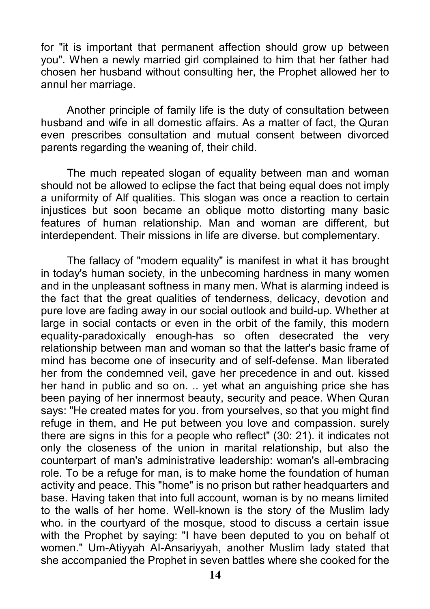for "it is important that permanent affection should grow up between you". When a newly married girl complained to him that her father had chosen her husband without consulting her, the Prophet allowed her to annul her marriage.

Another principle of family life is the duty of consultation between husband and wife in all domestic affairs. As a matter of fact, the Quran even prescribes consultation and mutual consent between divorced parents regarding the weaning of, their child.

The much repeated slogan of equality between man and woman should not be allowed to eclipse the fact that being equal does not imply a uniformity of Alf qualities. This slogan was once a reaction to certain injustices but soon became an oblique motto distorting many basic features of human relationship. Man and woman are different, but interdependent. Their missions in life are diverse. but complementary.

The fallacy of "modern equality" is manifest in what it has brought in today's human society, in the unbecoming hardness in many women and in the unpleasant softness in many men. What is alarming indeed is the fact that the great qualities of tenderness, delicacy, devotion and pure love are fading away in our social outlook and build-up. Whether at large in social contacts or even in the orbit of the family, this modern equality-paradoxically enough-has so often desecrated the very relationship between man and woman so that the latter's basic frame of mind has become one of insecurity and of self-defense. Man liberated her from the condemned veil, gave her precedence in and out. kissed her hand in public and so on. .. yet what an anguishing price she has been paying of her innermost beauty, security and peace. When Quran says: "He created mates for you. from yourselves, so that you might find refuge in them, and He put between you love and compassion. surely there are signs in this for a people who reflect" (30: 21). it indicates not only the closeness of the union in marital relationship, but also the counterpart of man's administrative leadership: woman's all-embracing role. To be a refuge for man, is to make home the foundation of human activity and peace. This "home" is no prison but rather headquarters and base. Having taken that into full account, woman is by no means limited to the walls of her home. Well-known is the story of the Muslim lady who. in the courtyard of the mosque, stood to discuss a certain issue with the Prophet by saying: "I have been deputed to you on behalf ot women." Um-Atiyyah AI-Ansariyyah, another Muslim lady stated that she accompanied the Prophet in seven battles where she cooked for the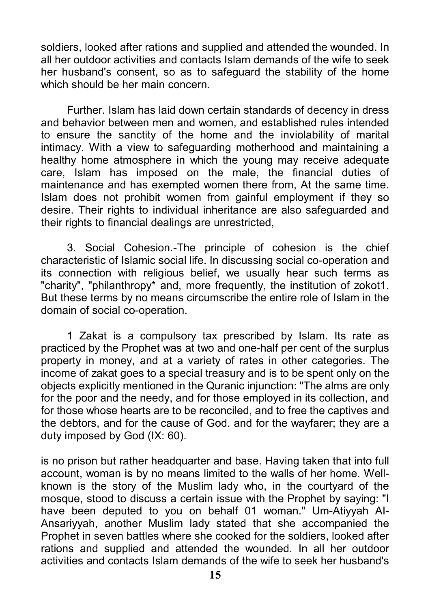soldiers, looked after rations and supplied and attended the wounded. In all her outdoor activities and contacts Islam demands of the wife to seek her husband's consent, so as to safeguard the stability of the home which should be her main concern.

Further. Islam has laid down certain standards of decency in dress and behavior between men and women, and established rules intended to ensure the sanctity of the home and the inviolability of marital intimacy. With a view to safeguarding motherhood and maintaining a healthy home atmosphere in which the young may receive adequate care, Islam has imposed on the male, the financial duties of maintenance and has exempted women there from, At the same time. Islam does not prohibit women from gainful employment if they so desire. Their rights to individual inheritance are also safeguarded and their rights to financial dealings are unrestricted,

3. Social Cohesion.-The principle of cohesion is the chief characteristic of Islamic social life. In discussing social co-operation and its connection with religious belief, we usually hear such terms as "charity", "philanthropy\* and, more frequently, the institution of zokot1. But these terms by no means circumscribe the entire role of Islam in the domain of social co-operation.

1 Zakat is a compulsory tax prescribed by Islam. Its rate as practiced by the Prophet was at two and one-half per cent of the surplus property in money, and at a variety of rates in other categories. The income of zakat goes to a special treasury and is to be spent only on the objects explicitly mentioned in the Quranic injunction: "The alms are only for the poor and the needy, and for those employed in its collection, and for those whose hearts are to be reconciled, and to free the captives and the debtors, and for the cause of God. and for the wayfarer; they are a duty imposed by God (IX: 60).

is no prison but rather headquarter and base. Having taken that into full account, woman is by no means limited to the walls of her home. Wellknown is the story of the Muslim lady who, in the courtyard of the mosque, stood to discuss a certain issue with the Prophet by saying: "I have been deputed to you on behalf 01 woman." Um-Atiyyah AI-Ansariyyah, another Muslim lady stated that she accompanied the Prophet in seven battles where she cooked for the soldiers, looked after rations and supplied and attended the wounded. In all her outdoor activities and contacts Islam demands of the wife to seek her husband's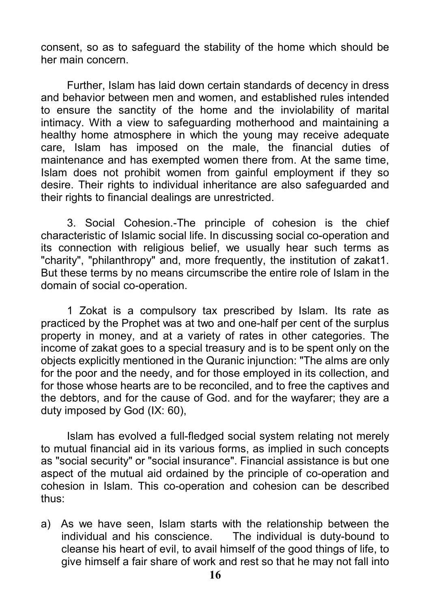consent, so as to safeguard the stability of the home which should be her main concern.

Further, Islam has laid down certain standards of decency in dress and behavior between men and women, and established rules intended to ensure the sanctity of the home and the inviolability of marital intimacy. With a view to safeguarding motherhood and maintaining a healthy home atmosphere in which the young may receive adequate care, Islam has imposed on the male, the financial duties of maintenance and has exempted women there from. At the same time, Islam does not prohibit women from gainful employment if they so desire. Their rights to individual inheritance are also safeguarded and their rights to financial dealings are unrestricted.

3. Social Cohesion.-The principle of cohesion is the chief characteristic of Islamic social life. In discussing social co-operation and its connection with religious belief, we usually hear such terms as "charity", "philanthropy" and, more frequently, the institution of zakat1. But these terms by no means circumscribe the entire role of Islam in the domain of social co-operation.

1 Zokat is a compulsory tax prescribed by Islam. Its rate as practiced by the Prophet was at two and one-half per cent of the surplus property in money, and at a variety of rates in other categories. The income of zakat goes to a special treasury and is to be spent only on the objects explicitly mentioned in the Quranic injunction: "The alms are only for the poor and the needy, and for those employed in its collection, and for those whose hearts are to be reconciled, and to free the captives and the debtors, and for the cause of God. and for the wayfarer; they are a duty imposed by God (IX: 60),

Islam has evolved a full-fledged social system relating not merely to mutual financial aid in its various forms, as implied in such concepts as "social security" or "social insurance". Financial assistance is but one aspect of the mutual aid ordained by the principle of co-operation and cohesion in Islam. This co-operation and cohesion can be described thus:

a) As we have seen, Islam starts with the relationship between the individual and his conscience. The individual is duty-bound to cleanse his heart of evil, to avail himself of the good things of life, to give himself a fair share of work and rest so that he may not fall into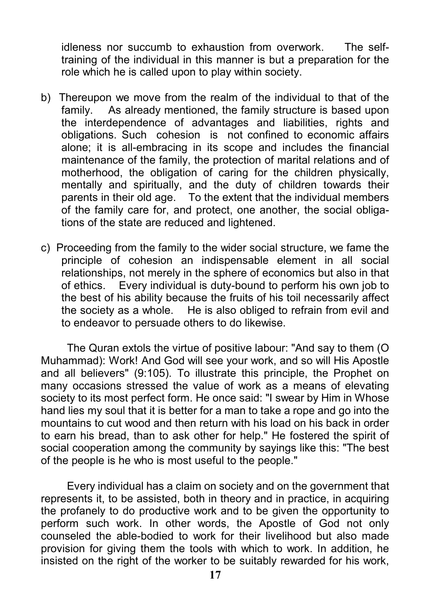idleness nor succumb to exhaustion from overwork. The selftraining of the individual in this manner is but a preparation for the role which he is called upon to play within society.

- b) Thereupon we move from the realm of the individual to that of the family. As already mentioned, the family structure is based upon the interdependence of advantages and liabilities, rights and obligations. Such cohesion is not confined to economic affairs alone; it is all-embracing in its scope and includes the financial maintenance of the family, the protection of marital relations and of motherhood, the obligation of caring for the children physically, mentally and spiritually, and the duty of children towards their parents in their old age. To the extent that the individual members of the family care for, and protect, one another, the social obligations of the state are reduced and lightened.
- c) Proceeding from the family to the wider social structure, we fame the principle of cohesion an indispensable element in all social relationships, not merely in the sphere of economics but also in that of ethics. Every individual is duty-bound to perform his own job to the best of his ability because the fruits of his toil necessarily affect the society as a whole. He is also obliged to refrain from evil and to endeavor to persuade others to do likewise.

The Quran extols the virtue of positive labour: "And say to them (O Muhammad): Work! And God will see your work, and so will His Apostle and all believers" (9:105). To illustrate this principle, the Prophet on many occasions stressed the value of work as a means of elevating society to its most perfect form. He once said: "I swear by Him in Whose hand lies my soul that it is better for a man to take a rope and go into the mountains to cut wood and then return with his load on his back in order to earn his bread, than to ask other for help." He fostered the spirit of social cooperation among the community by sayings like this: "The best of the people is he who is most useful to the people."

Every individual has a claim on society and on the government that represents it, to be assisted, both in theory and in practice, in acquiring the profanely to do productive work and to be given the opportunity to perform such work. In other words, the Apostle of God not only counseled the able-bodied to work for their livelihood but also made provision for giving them the tools with which to work. In addition, he insisted on the right of the worker to be suitably rewarded for his work,